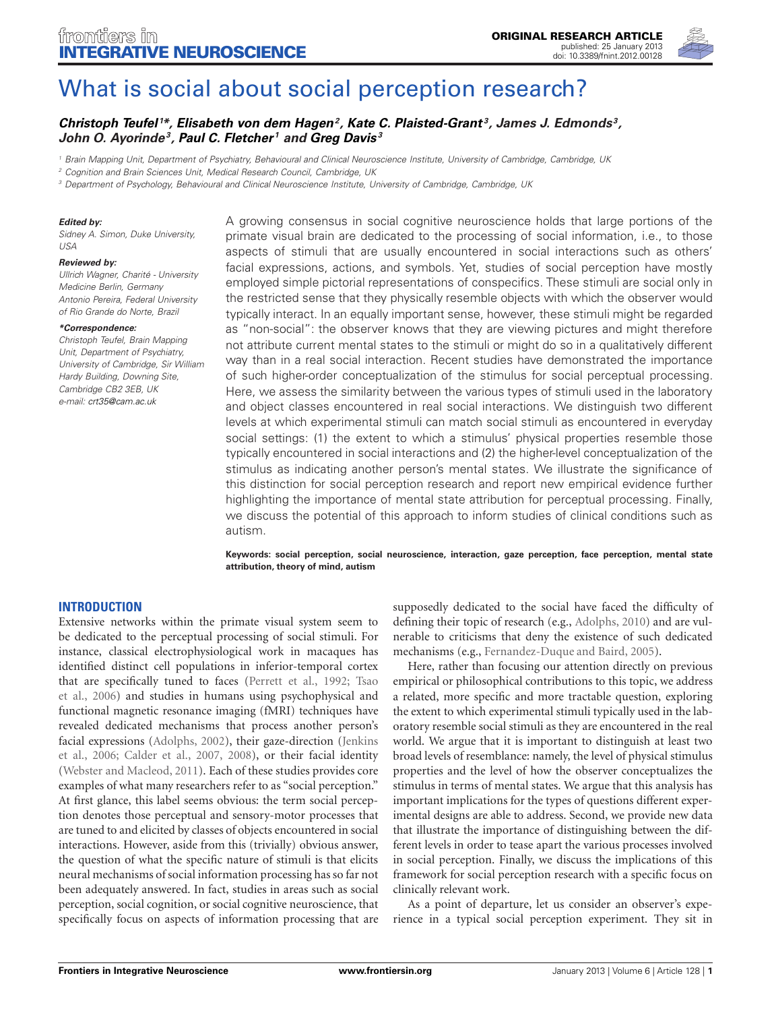

# [What is social about social perception research?](http://www.frontiersin.org/Integrative_Neuroscience/10.3389/fnint.2012.00128/abstract)

# *[Christoph Teufel](http://www.frontiersin.org/Community/WhosWhoActivity.aspx?sname=ChristophTeufel&UID=55369) <sup>1</sup> \*, [Elisabeth von dem Hagen](http://www.frontiersin.org/Community/WhosWhoActivity.aspx?sname=Elisabethvon_dem_Hagen&UID=67485)2, [Kate C. Plaisted-Grant](http://community.frontiersin.org/people/KatePlaisted_Grant/40716) 3, James J. Edmonds 3, John O. Ayorinde3, [Paul C. Fletcher](http://www.frontiersin.org/Community/WhosWhoActivity.aspx?sname=PaulFletcher&UID=4518) <sup>1</sup> and [Greg Davis](http://www.frontiersin.org/Community/WhosWhoActivity.aspx?sname=GregoryDavis&UID=41774) <sup>3</sup>*

*<sup>1</sup> Brain Mapping Unit, Department of Psychiatry, Behavioural and Clinical Neuroscience Institute, University of Cambridge, Cambridge, UK*

*<sup>2</sup> Cognition and Brain Sciences Unit, Medical Research Council, Cambridge, UK*

*<sup>3</sup> Department of Psychology, Behavioural and Clinical Neuroscience Institute, University of Cambridge, Cambridge, UK*

#### *Edited by:*

*Sidney A. Simon, Duke University, USA*

#### *Reviewed by:*

*Ullrich Wagner, Charité - University Medicine Berlin, Germany Antonio Pereira, Federal University of Rio Grande do Norte, Brazil*

#### *\*Correspondence:*

*Christoph Teufel, Brain Mapping Unit, Department of Psychiatry, University of Cambridge, Sir William Hardy Building, Downing Site, Cambridge CB2 3EB, UK e-mail: [crt35@cam.ac.uk](mailto:crt35@cam.ac.uk)*

A growing consensus in social cognitive neuroscience holds that large portions of the primate visual brain are dedicated to the processing of social information, i.e., to those aspects of stimuli that are usually encountered in social interactions such as others' facial expressions, actions, and symbols. Yet, studies of social perception have mostly employed simple pictorial representations of conspecifics. These stimuli are social only in the restricted sense that they physically resemble objects with which the observer would typically interact. In an equally important sense, however, these stimuli might be regarded as "non-social": the observer knows that they are viewing pictures and might therefore not attribute current mental states to the stimuli or might do so in a qualitatively different way than in a real social interaction. Recent studies have demonstrated the importance of such higher-order conceptualization of the stimulus for social perceptual processing. Here, we assess the similarity between the various types of stimuli used in the laboratory and object classes encountered in real social interactions. We distinguish two different levels at which experimental stimuli can match social stimuli as encountered in everyday social settings: (1) the extent to which a stimulus' physical properties resemble those typically encountered in social interactions and (2) the higher-level conceptualization of the stimulus as indicating another person's mental states. We illustrate the significance of this distinction for social perception research and report new empirical evidence further highlighting the importance of mental state attribution for perceptual processing. Finally, we discuss the potential of this approach to inform studies of clinical conditions such as autism.

**Keywords: social perception, social neuroscience, interaction, gaze perception, face perception, mental state attribution, theory of mind, autism**

### **INTRODUCTION**

Extensive networks within the primate visual system seem to be dedicated to the perceptual processing of social stimuli. For instance, classical electrophysiological work in macaques has identified distinct cell populations in inferior-temporal cortex that [are specifically tuned to faces](#page-8-1) [\(Perrett et al., 1992](#page-8-0)[;](#page-8-1) Tsao et al., [2006\)](#page-8-1) and studies in humans using psychophysical and functional magnetic resonance imaging (fMRI) techniques have revealed dedicated mechanisms that process another person's facia[l expressions](#page-7-1) [\(Adolphs](#page-7-0)[,](#page-7-1) [2002](#page-7-0)[\), their gaze-direction \(](#page-7-1)Jenkins et al., [2006;](#page-7-1) [Calder et al.](#page-7-2), [2007,](#page-7-2) [2008](#page-7-3)), or their facial identity [\(Webster and Macleod, 2011](#page-8-2)). Each of these studies provides core examples of what many researchers refer to as "social perception." At first glance, this label seems obvious: the term social perception denotes those perceptual and sensory-motor processes that are tuned to and elicited by classes of objects encountered in social interactions. However, aside from this (trivially) obvious answer, the question of what the specific nature of stimuli is that elicits neural mechanisms of social information processing has so far not been adequately answered. In fact, studies in areas such as social perception, social cognition, or social cognitive neuroscience, that specifically focus on aspects of information processing that are

supposedly dedicated to the social have faced the difficulty of defining their topic of research (e.g., [Adolphs](#page-7-4), [2010](#page-7-4)) and are vulnerable to criticisms that deny the existence of such dedicated mechanisms (e.g., [Fernandez-Duque and Baird](#page-7-5), [2005\)](#page-7-5).

Here, rather than focusing our attention directly on previous empirical or philosophical contributions to this topic, we address a related, more specific and more tractable question, exploring the extent to which experimental stimuli typically used in the laboratory resemble social stimuli as they are encountered in the real world. We argue that it is important to distinguish at least two broad levels of resemblance: namely, the level of physical stimulus properties and the level of how the observer conceptualizes the stimulus in terms of mental states. We argue that this analysis has important implications for the types of questions different experimental designs are able to address. Second, we provide new data that illustrate the importance of distinguishing between the different levels in order to tease apart the various processes involved in social perception. Finally, we discuss the implications of this framework for social perception research with a specific focus on clinically relevant work.

As a point of departure, let us consider an observer's experience in a typical social perception experiment. They sit in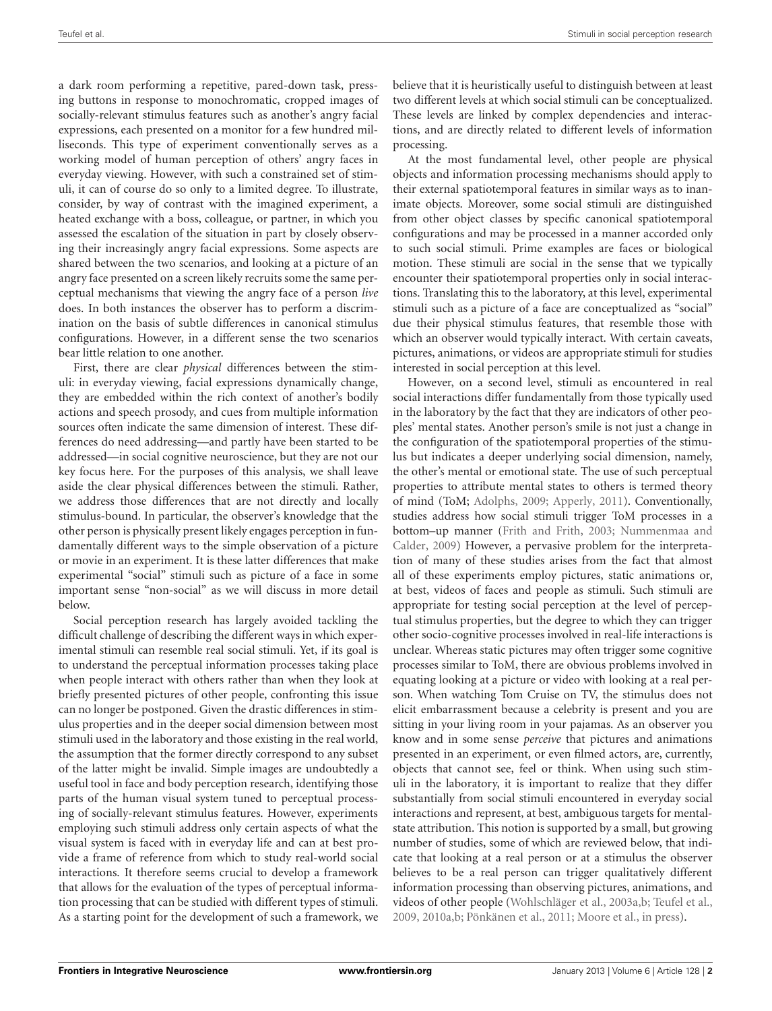a dark room performing a repetitive, pared-down task, pressing buttons in response to monochromatic, cropped images of socially-relevant stimulus features such as another's angry facial expressions, each presented on a monitor for a few hundred milliseconds. This type of experiment conventionally serves as a working model of human perception of others' angry faces in everyday viewing. However, with such a constrained set of stimuli, it can of course do so only to a limited degree. To illustrate, consider, by way of contrast with the imagined experiment, a heated exchange with a boss, colleague, or partner, in which you assessed the escalation of the situation in part by closely observing their increasingly angry facial expressions. Some aspects are shared between the two scenarios, and looking at a picture of an angry face presented on a screen likely recruits some the same perceptual mechanisms that viewing the angry face of a person *live* does. In both instances the observer has to perform a discrimination on the basis of subtle differences in canonical stimulus configurations. However, in a different sense the two scenarios bear little relation to one another.

First, there are clear *physical* differences between the stimuli: in everyday viewing, facial expressions dynamically change, they are embedded within the rich context of another's bodily actions and speech prosody, and cues from multiple information sources often indicate the same dimension of interest. These differences do need addressing—and partly have been started to be addressed—in social cognitive neuroscience, but they are not our key focus here. For the purposes of this analysis, we shall leave aside the clear physical differences between the stimuli. Rather, we address those differences that are not directly and locally stimulus-bound. In particular, the observer's knowledge that the other person is physically present likely engages perception in fundamentally different ways to the simple observation of a picture or movie in an experiment. It is these latter differences that make experimental "social" stimuli such as picture of a face in some important sense "non-social" as we will discuss in more detail below.

Social perception research has largely avoided tackling the difficult challenge of describing the different ways in which experimental stimuli can resemble real social stimuli. Yet, if its goal is to understand the perceptual information processes taking place when people interact with others rather than when they look at briefly presented pictures of other people, confronting this issue can no longer be postponed. Given the drastic differences in stimulus properties and in the deeper social dimension between most stimuli used in the laboratory and those existing in the real world, the assumption that the former directly correspond to any subset of the latter might be invalid. Simple images are undoubtedly a useful tool in face and body perception research, identifying those parts of the human visual system tuned to perceptual processing of socially-relevant stimulus features. However, experiments employing such stimuli address only certain aspects of what the visual system is faced with in everyday life and can at best provide a frame of reference from which to study real-world social interactions. It therefore seems crucial to develop a framework that allows for the evaluation of the types of perceptual information processing that can be studied with different types of stimuli. As a starting point for the development of such a framework, we

believe that it is heuristically useful to distinguish between at least two different levels at which social stimuli can be conceptualized. These levels are linked by complex dependencies and interactions, and are directly related to different levels of information processing.

At the most fundamental level, other people are physical objects and information processing mechanisms should apply to their external spatiotemporal features in similar ways as to inanimate objects. Moreover, some social stimuli are distinguished from other object classes by specific canonical spatiotemporal configurations and may be processed in a manner accorded only to such social stimuli. Prime examples are faces or biological motion. These stimuli are social in the sense that we typically encounter their spatiotemporal properties only in social interactions. Translating this to the laboratory, at this level, experimental stimuli such as a picture of a face are conceptualized as "social" due their physical stimulus features, that resemble those with which an observer would typically interact. With certain caveats, pictures, animations, or videos are appropriate stimuli for studies interested in social perception at this level.

However, on a second level, stimuli as encountered in real social interactions differ fundamentally from those typically used in the laboratory by the fact that they are indicators of other peoples' mental states. Another person's smile is not just a change in the configuration of the spatiotemporal properties of the stimulus but indicates a deeper underlying social dimension, namely, the other's mental or emotional state. The use of such perceptual properties to attribute mental states to others is termed theory of mind (ToM; [Adolphs](#page-7-6), [2009;](#page-7-6) [Apperly, 2011\)](#page-7-7). Conventionally, studies address how social stimuli trigger ToM processes in a botto[m–up manner](#page-8-3) [\(Frith and Frith](#page-7-8)[,](#page-8-3) [2003](#page-7-8)[;](#page-8-3) Nummenmaa and Calder, [2009](#page-8-3)) However, a pervasive problem for the interpretation of many of these studies arises from the fact that almost all of these experiments employ pictures, static animations or, at best, videos of faces and people as stimuli. Such stimuli are appropriate for testing social perception at the level of perceptual stimulus properties, but the degree to which they can trigger other socio-cognitive processes involved in real-life interactions is unclear. Whereas static pictures may often trigger some cognitive processes similar to ToM, there are obvious problems involved in equating looking at a picture or video with looking at a real person. When watching Tom Cruise on TV, the stimulus does not elicit embarrassment because a celebrity is present and you are sitting in your living room in your pajamas. As an observer you know and in some sense *perceive* that pictures and animations presented in an experiment, or even filmed actors, are, currently, objects that cannot see, feel or think. When using such stimuli in the laboratory, it is important to realize that they differ substantially from social stimuli encountered in everyday social interactions and represent, at best, ambiguous targets for mentalstate attribution. This notion is supported by a small, but growing number of studies, some of which are reviewed below, that indicate that looking at a real person or at a stimulus the observer believes to be a real person can trigger qualitatively different information processing than observing pictures, animations, and videos of other people [\(Wohlschläger et al.](#page-8-4), [2003a](#page-8-4)[,b;](#page-8-5) [Teufel et al.,](#page-8-6) [2009](#page-8-6), [2010a](#page-8-7)[,b;](#page-8-8) [Pönkänen et al.](#page-8-9), [2011;](#page-8-9) [Moore et al., in press](#page-7-9)).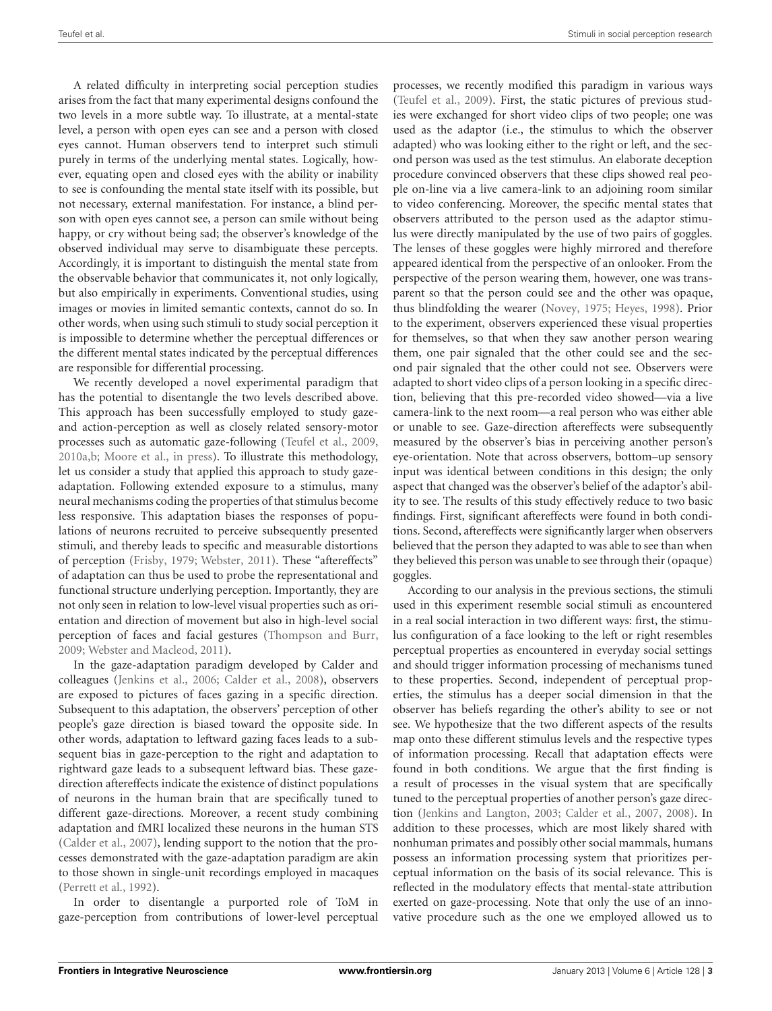A related difficulty in interpreting social perception studies arises from the fact that many experimental designs confound the two levels in a more subtle way. To illustrate, at a mental-state level, a person with open eyes can see and a person with closed eyes cannot. Human observers tend to interpret such stimuli purely in terms of the underlying mental states. Logically, however, equating open and closed eyes with the ability or inability to see is confounding the mental state itself with its possible, but not necessary, external manifestation. For instance, a blind person with open eyes cannot see, a person can smile without being happy, or cry without being sad; the observer's knowledge of the observed individual may serve to disambiguate these percepts. Accordingly, it is important to distinguish the mental state from the observable behavior that communicates it, not only logically, but also empirically in experiments. Conventional studies, using images or movies in limited semantic contexts, cannot do so. In other words, when using such stimuli to study social perception it is impossible to determine whether the perceptual differences or the different mental states indicated by the perceptual differences are responsible for differential processing.

We recently developed a novel experimental paradigm that has the potential to disentangle the two levels described above. This approach has been successfully employed to study gazeand action-perception as well as closely related sensory-motor processes such as automatic gaze-following [\(Teufel et al., 2009,](#page-8-6) [2010a](#page-8-7)[,b;](#page-8-8) [Moore et al.](#page-7-9), [in press\)](#page-7-9). To illustrate this methodology, let us consider a study that applied this approach to study gazeadaptation. Following extended exposure to a stimulus, many neural mechanisms coding the properties of that stimulus become less responsive. This adaptation biases the responses of populations of neurons recruited to perceive subsequently presented stimuli, and thereby leads to specific and measurable distortions of perception [\(Frisby](#page-7-10), [1979;](#page-7-10) [Webster, 2011](#page-8-10)). These "aftereffects" of adaptation can thus be used to probe the representational and functional structure underlying perception. Importantly, they are not only seen in relation to low-level visual properties such as orientation and direction of movement but also in high-level social perception of faces and facial gestures [\(Thompson and Burr,](#page-8-11) [2009](#page-8-11); [Webster and Macleod](#page-8-2), [2011\)](#page-8-2).

In the gaze-adaptation paradigm developed by Calder and colleagues [\(Jenkins et al., 2006;](#page-7-1) [Calder et al., 2008](#page-7-3)), observers are exposed to pictures of faces gazing in a specific direction. Subsequent to this adaptation, the observers' perception of other people's gaze direction is biased toward the opposite side. In other words, adaptation to leftward gazing faces leads to a subsequent bias in gaze-perception to the right and adaptation to rightward gaze leads to a subsequent leftward bias. These gazedirection aftereffects indicate the existence of distinct populations of neurons in the human brain that are specifically tuned to different gaze-directions. Moreover, a recent study combining adaptation and fMRI localized these neurons in the human STS [\(Calder et al., 2007\)](#page-7-2), lending support to the notion that the processes demonstrated with the gaze-adaptation paradigm are akin to those shown in single-unit recordings employed in macaques [\(Perrett et al., 1992](#page-8-0)).

In order to disentangle a purported role of ToM in gaze-perception from contributions of lower-level perceptual processes, we recently modified this paradigm in various ways [\(Teufel et al., 2009\)](#page-8-6). First, the static pictures of previous studies were exchanged for short video clips of two people; one was used as the adaptor (i.e., the stimulus to which the observer adapted) who was looking either to the right or left, and the second person was used as the test stimulus. An elaborate deception procedure convinced observers that these clips showed real people on-line via a live camera-link to an adjoining room similar to video conferencing. Moreover, the specific mental states that observers attributed to the person used as the adaptor stimulus were directly manipulated by the use of two pairs of goggles. The lenses of these goggles were highly mirrored and therefore appeared identical from the perspective of an onlooker. From the perspective of the person wearing them, however, one was transparent so that the person could see and the other was opaque, thus blindfolding the wearer [\(Novey](#page-8-12), [1975;](#page-8-12) [Heyes](#page-7-11), [1998\)](#page-7-11). Prior to the experiment, observers experienced these visual properties for themselves, so that when they saw another person wearing them, one pair signaled that the other could see and the second pair signaled that the other could not see. Observers were adapted to short video clips of a person looking in a specific direction, believing that this pre-recorded video showed—via a live camera-link to the next room—a real person who was either able or unable to see. Gaze-direction aftereffects were subsequently measured by the observer's bias in perceiving another person's eye-orientation. Note that across observers, bottom–up sensory input was identical between conditions in this design; the only aspect that changed was the observer's belief of the adaptor's ability to see. The results of this study effectively reduce to two basic findings. First, significant aftereffects were found in both conditions. Second, aftereffects were significantly larger when observers believed that the person they adapted to was able to see than when they believed this person was unable to see through their (opaque) goggles.

According to our analysis in the previous sections, the stimuli used in this experiment resemble social stimuli as encountered in a real social interaction in two different ways: first, the stimulus configuration of a face looking to the left or right resembles perceptual properties as encountered in everyday social settings and should trigger information processing of mechanisms tuned to these properties. Second, independent of perceptual properties, the stimulus has a deeper social dimension in that the observer has beliefs regarding the other's ability to see or not see. We hypothesize that the two different aspects of the results map onto these different stimulus levels and the respective types of information processing. Recall that adaptation effects were found in both conditions. We argue that the first finding is a result of processes in the visual system that are specifically tuned to the perceptual properties of another person's gaze direction [\(Jenkins and Langton](#page-7-12), [2003](#page-7-12); [Calder et al.](#page-7-2), [2007](#page-7-2), [2008](#page-7-3)). In addition to these processes, which are most likely shared with nonhuman primates and possibly other social mammals, humans possess an information processing system that prioritizes perceptual information on the basis of its social relevance. This is reflected in the modulatory effects that mental-state attribution exerted on gaze-processing. Note that only the use of an innovative procedure such as the one we employed allowed us to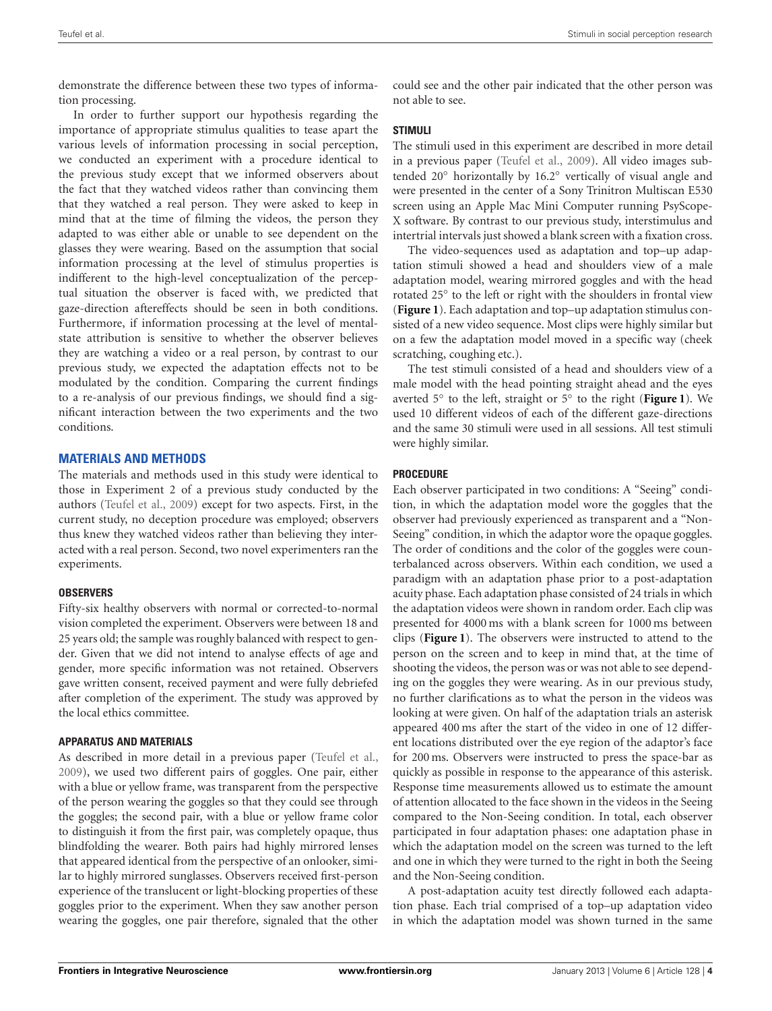demonstrate the difference between these two types of information processing.

In order to further support our hypothesis regarding the importance of appropriate stimulus qualities to tease apart the various levels of information processing in social perception, we conducted an experiment with a procedure identical to the previous study except that we informed observers about the fact that they watched videos rather than convincing them that they watched a real person. They were asked to keep in mind that at the time of filming the videos, the person they adapted to was either able or unable to see dependent on the glasses they were wearing. Based on the assumption that social information processing at the level of stimulus properties is indifferent to the high-level conceptualization of the perceptual situation the observer is faced with, we predicted that gaze-direction aftereffects should be seen in both conditions. Furthermore, if information processing at the level of mentalstate attribution is sensitive to whether the observer believes they are watching a video or a real person, by contrast to our previous study, we expected the adaptation effects not to be modulated by the condition. Comparing the current findings to a re-analysis of our previous findings, we should find a significant interaction between the two experiments and the two conditions.

## **MATERIALS AND METHODS**

The materials and methods used in this study were identical to those in Experiment 2 of a previous study conducted by the authors [\(Teufel et al., 2009](#page-8-6)) except for two aspects. First, in the current study, no deception procedure was employed; observers thus knew they watched videos rather than believing they interacted with a real person. Second, two novel experimenters ran the experiments.

### **OBSERVERS**

Fifty-six healthy observers with normal or corrected-to-normal vision completed the experiment. Observers were between 18 and 25 years old; the sample was roughly balanced with respect to gender. Given that we did not intend to analyse effects of age and gender, more specific information was not retained. Observers gave written consent, received payment and were fully debriefed after completion of the experiment. The study was approved by the local ethics committee.

### **APPARATUS AND MATERIALS**

As described in more detail in a previous paper [\(Teufel et al.,](#page-8-6) [2009](#page-8-6)), we used two different pairs of goggles. One pair, either with a blue or yellow frame, was transparent from the perspective of the person wearing the goggles so that they could see through the goggles; the second pair, with a blue or yellow frame color to distinguish it from the first pair, was completely opaque, thus blindfolding the wearer. Both pairs had highly mirrored lenses that appeared identical from the perspective of an onlooker, similar to highly mirrored sunglasses. Observers received first-person experience of the translucent or light-blocking properties of these goggles prior to the experiment. When they saw another person wearing the goggles, one pair therefore, signaled that the other could see and the other pair indicated that the other person was not able to see.

# **STIMULI**

The stimuli used in this experiment are described in more detail in a previous paper [\(Teufel et al., 2009\)](#page-8-6). All video images subtended 20◦ horizontally by 16.2◦ vertically of visual angle and were presented in the center of a Sony Trinitron Multiscan E530 screen using an Apple Mac Mini Computer running PsyScope-X software. By contrast to our previous study, interstimulus and intertrial intervals just showed a blank screen with a fixation cross.

The video-sequences used as adaptation and top–up adaptation stimuli showed a head and shoulders view of a male adaptation model, wearing mirrored goggles and with the head rotated 25◦ to the left or right with the shoulders in frontal view (**[Figure 1](#page-4-0)**). Each adaptation and top–up adaptation stimulus consisted of a new video sequence. Most clips were highly similar but on a few the adaptation model moved in a specific way (cheek scratching, coughing etc.).

The test stimuli consisted of a head and shoulders view of a male model with the head pointing straight ahead and the eyes averted 5◦ to the left, straight or 5◦ to the right (**[Figure 1](#page-4-0)**). We used 10 different videos of each of the different gaze-directions and the same 30 stimuli were used in all sessions. All test stimuli were highly similar.

## **PROCEDURE**

Each observer participated in two conditions: A "Seeing" condition, in which the adaptation model wore the goggles that the observer had previously experienced as transparent and a "Non-Seeing" condition, in which the adaptor wore the opaque goggles. The order of conditions and the color of the goggles were counterbalanced across observers. Within each condition, we used a paradigm with an adaptation phase prior to a post-adaptation acuity phase. Each adaptation phase consisted of 24 trials in which the adaptation videos were shown in random order. Each clip was presented for 4000 ms with a blank screen for 1000 ms between clips (**[Figure 1](#page-4-0)**). The observers were instructed to attend to the person on the screen and to keep in mind that, at the time of shooting the videos, the person was or was not able to see depending on the goggles they were wearing. As in our previous study, no further clarifications as to what the person in the videos was looking at were given. On half of the adaptation trials an asterisk appeared 400 ms after the start of the video in one of 12 different locations distributed over the eye region of the adaptor's face for 200 ms. Observers were instructed to press the space-bar as quickly as possible in response to the appearance of this asterisk. Response time measurements allowed us to estimate the amount of attention allocated to the face shown in the videos in the Seeing compared to the Non-Seeing condition. In total, each observer participated in four adaptation phases: one adaptation phase in which the adaptation model on the screen was turned to the left and one in which they were turned to the right in both the Seeing and the Non-Seeing condition.

A post-adaptation acuity test directly followed each adaptation phase. Each trial comprised of a top–up adaptation video in which the adaptation model was shown turned in the same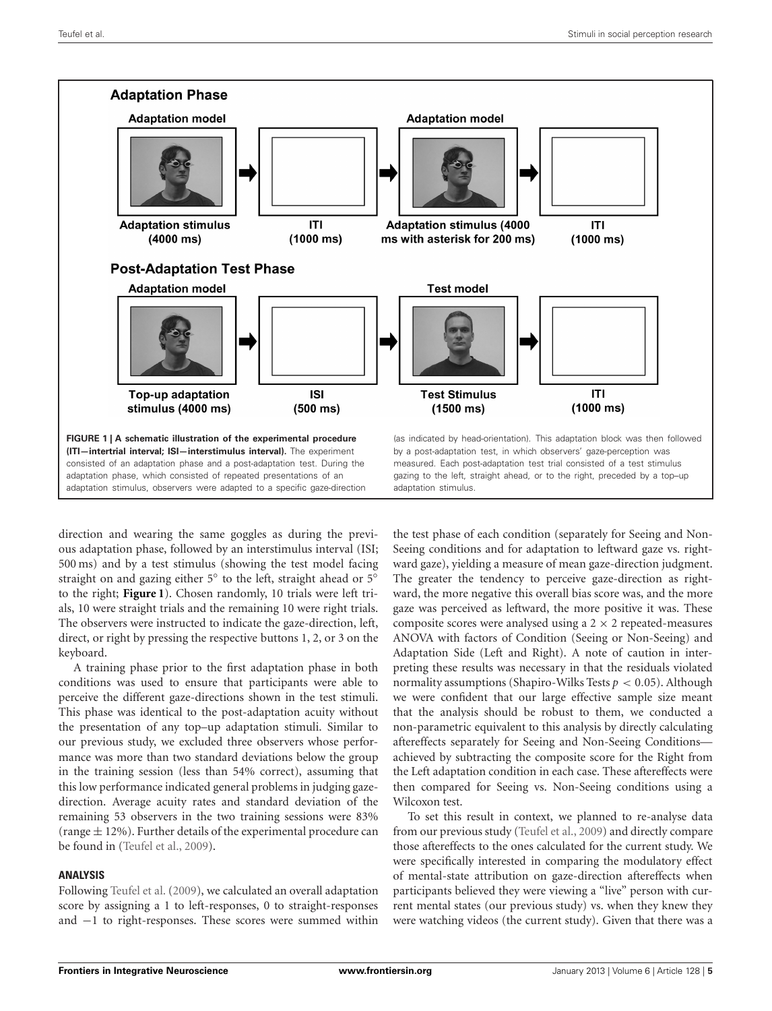

<span id="page-4-0"></span>direction and wearing the same goggles as during the previous adaptation phase, followed by an interstimulus interval (ISI; 500 ms) and by a test stimulus (showing the test model facing straight on and gazing either 5◦ to the left, straight ahead or 5◦ to the right; **[Figure 1](#page-4-0)**). Chosen randomly, 10 trials were left trials, 10 were straight trials and the remaining 10 were right trials. The observers were instructed to indicate the gaze-direction, left, direct, or right by pressing the respective buttons 1, 2, or 3 on the keyboard.

A training phase prior to the first adaptation phase in both conditions was used to ensure that participants were able to perceive the different gaze-directions shown in the test stimuli. This phase was identical to the post-adaptation acuity without the presentation of any top–up adaptation stimuli. Similar to our previous study, we excluded three observers whose performance was more than two standard deviations below the group in the training session (less than 54% correct), assuming that this low performance indicated general problems in judging gazedirection. Average acuity rates and standard deviation of the remaining 53 observers in the two training sessions were 83% (range  $\pm$  12%). Further details of the experimental procedure can be found in [\(Teufel et al.](#page-8-6), [2009\)](#page-8-6).

### **ANALYSIS**

Following [Teufel et al.](#page-8-6) [\(2009\)](#page-8-6), we calculated an overall adaptation score by assigning a 1 to left-responses, 0 to straight-responses and −1 to right-responses. These scores were summed within

the test phase of each condition (separately for Seeing and Non-Seeing conditions and for adaptation to leftward gaze vs. rightward gaze), yielding a measure of mean gaze-direction judgment. The greater the tendency to perceive gaze-direction as rightward, the more negative this overall bias score was, and the more gaze was perceived as leftward, the more positive it was. These composite scores were analysed using a  $2 \times 2$  repeated-measures ANOVA with factors of Condition (Seeing or Non-Seeing) and Adaptation Side (Left and Right). A note of caution in interpreting these results was necessary in that the residuals violated normality assumptions (Shapiro-Wilks Tests *p <* 0*.*05). Although we were confident that our large effective sample size meant that the analysis should be robust to them, we conducted a non-parametric equivalent to this analysis by directly calculating aftereffects separately for Seeing and Non-Seeing Conditions achieved by subtracting the composite score for the Right from the Left adaptation condition in each case. These aftereffects were then compared for Seeing vs. Non-Seeing conditions using a Wilcoxon test.

To set this result in context, we planned to re-analyse data from our previous study [\(Teufel et al.](#page-8-6), [2009\)](#page-8-6) and directly compare those aftereffects to the ones calculated for the current study. We were specifically interested in comparing the modulatory effect of mental-state attribution on gaze-direction aftereffects when participants believed they were viewing a "live" person with current mental states (our previous study) vs. when they knew they were watching videos (the current study). Given that there was a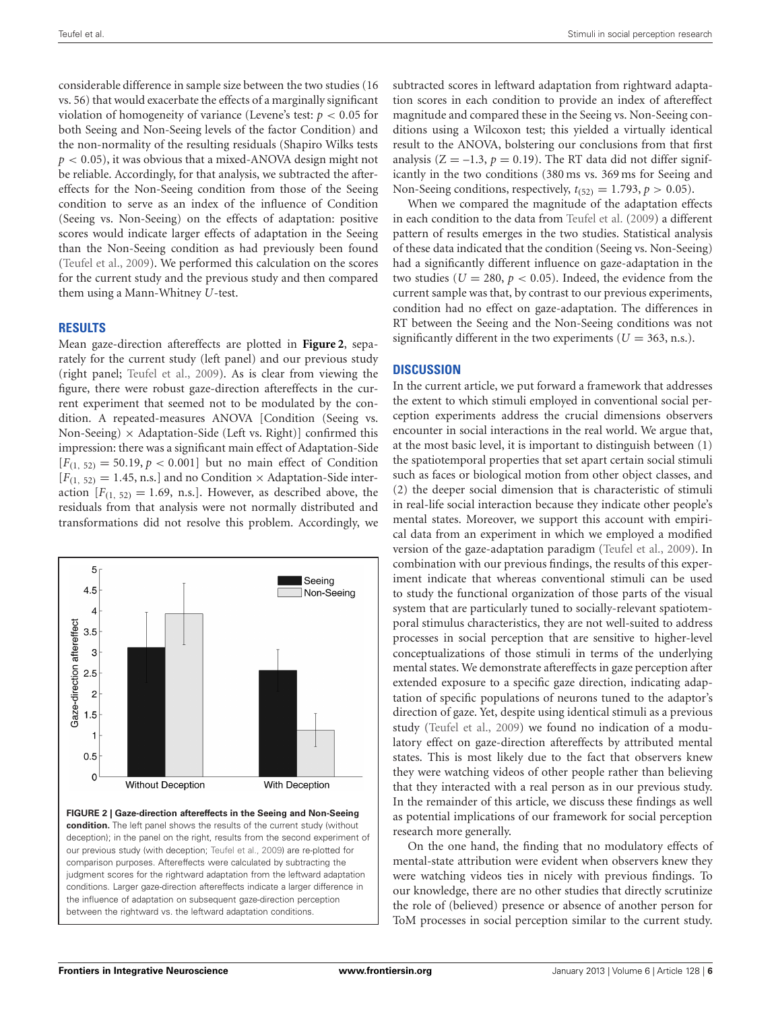considerable difference in sample size between the two studies (16 vs. 56) that would exacerbate the effects of a marginally significant violation of homogeneity of variance (Levene's test: *p <* 0*.*05 for both Seeing and Non-Seeing levels of the factor Condition) and the non-normality of the resulting residuals (Shapiro Wilks tests *p <* 0*.*05), it was obvious that a mixed-ANOVA design might not be reliable. Accordingly, for that analysis, we subtracted the aftereffects for the Non-Seeing condition from those of the Seeing condition to serve as an index of the influence of Condition (Seeing vs. Non-Seeing) on the effects of adaptation: positive scores would indicate larger effects of adaptation in the Seeing than the Non-Seeing condition as had previously been found [\(Teufel et al.](#page-8-6), [2009](#page-8-6)). We performed this calculation on the scores for the current study and the previous study and then compared them using a Mann-Whitney *U*-test.

## **RESULTS**

Mean gaze-direction aftereffects are plotted in **[Figure 2](#page-5-0)**, separately for the current study (left panel) and our previous study (right panel; [Teufel et al., 2009\)](#page-8-6). As is clear from viewing the figure, there were robust gaze-direction aftereffects in the current experiment that seemed not to be modulated by the condition. A repeated-measures ANOVA [Condition (Seeing vs. Non-Seeing)  $\times$  Adaptation-Side (Left vs. Right)] confirmed this impression: there was a significant main effect of Adaptation-Side  $[F_{(1, 52)} = 50.19, p < 0.001]$  but no main effect of Condition  $[F(1, 52) = 1.45, n.s.]$  and no Condition  $\times$  Adaptation-Side interaction  $[F_{(1, 52)} = 1.69$ , n.s.]. However, as described above, the residuals from that analysis were not normally distributed and transformations did not resolve this problem. Accordingly, we



<span id="page-5-0"></span>**FIGURE 2 | Gaze-direction aftereffects in the Seeing and Non-Seeing condition.** The left panel shows the results of the current study (without deception); in the panel on the right, results from the second experiment of our previous study (with deception; [Teufel et al.](#page-8-6), [2009\)](#page-8-6) are re-plotted for comparison purposes. Aftereffects were calculated by subtracting the judgment scores for the rightward adaptation from the leftward adaptation conditions. Larger gaze-direction aftereffects indicate a larger difference in the influence of adaptation on subsequent gaze-direction perception between the rightward vs. the leftward adaptation conditions.

subtracted scores in leftward adaptation from rightward adaptation scores in each condition to provide an index of aftereffect magnitude and compared these in the Seeing vs. Non-Seeing conditions using a Wilcoxon test; this yielded a virtually identical result to the ANOVA, bolstering our conclusions from that first analysis  $(Z = -1.3, p = 0.19)$ . The RT data did not differ significantly in the two conditions (380 ms vs. 369 ms for Seeing and Non-Seeing conditions, respectively,  $t_{(52)} = 1.793$ ,  $p > 0.05$ ).

When we compared the magnitude of the adaptation effects in each condition to the data from [Teufel et al.](#page-8-6) [\(2009\)](#page-8-6) a different pattern of results emerges in the two studies. Statistical analysis of these data indicated that the condition (Seeing vs. Non-Seeing) had a significantly different influence on gaze-adaptation in the two studies ( $U = 280$ ,  $p < 0.05$ ). Indeed, the evidence from the current sample was that, by contrast to our previous experiments, condition had no effect on gaze-adaptation. The differences in RT between the Seeing and the Non-Seeing conditions was not significantly different in the two experiments ( $U = 363$ , n.s.).

# **DISCUSSION**

In the current article, we put forward a framework that addresses the extent to which stimuli employed in conventional social perception experiments address the crucial dimensions observers encounter in social interactions in the real world. We argue that, at the most basic level, it is important to distinguish between (1) the spatiotemporal properties that set apart certain social stimuli such as faces or biological motion from other object classes, and (2) the deeper social dimension that is characteristic of stimuli in real-life social interaction because they indicate other people's mental states. Moreover, we support this account with empirical data from an experiment in which we employed a modified version of the gaze-adaptation paradigm [\(Teufel et al., 2009\)](#page-8-6). In combination with our previous findings, the results of this experiment indicate that whereas conventional stimuli can be used to study the functional organization of those parts of the visual system that are particularly tuned to socially-relevant spatiotemporal stimulus characteristics, they are not well-suited to address processes in social perception that are sensitive to higher-level conceptualizations of those stimuli in terms of the underlying mental states. We demonstrate aftereffects in gaze perception after extended exposure to a specific gaze direction, indicating adaptation of specific populations of neurons tuned to the adaptor's direction of gaze. Yet, despite using identical stimuli as a previous study [\(Teufel et al., 2009\)](#page-8-6) we found no indication of a modulatory effect on gaze-direction aftereffects by attributed mental states. This is most likely due to the fact that observers knew they were watching videos of other people rather than believing that they interacted with a real person as in our previous study. In the remainder of this article, we discuss these findings as well as potential implications of our framework for social perception research more generally.

On the one hand, the finding that no modulatory effects of mental-state attribution were evident when observers knew they were watching videos ties in nicely with previous findings. To our knowledge, there are no other studies that directly scrutinize the role of (believed) presence or absence of another person for ToM processes in social perception similar to the current study.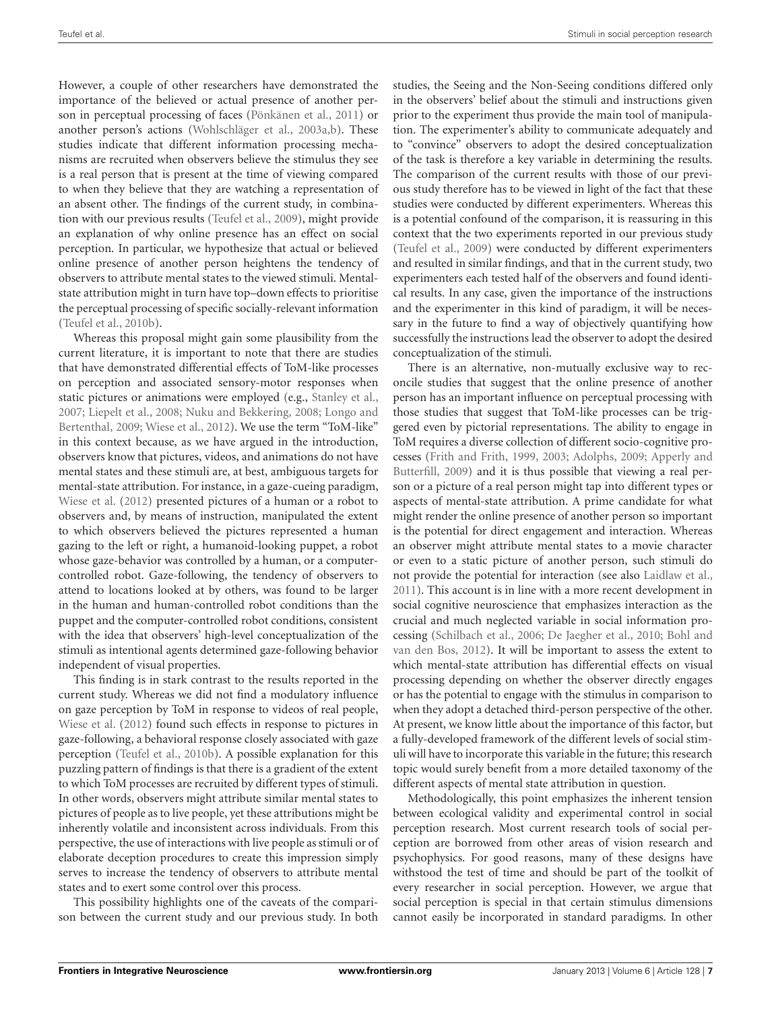However, a couple of other researchers have demonstrated the importance of the believed or actual presence of another person in perceptual processing of faces [\(Pönkänen et al., 2011\)](#page-8-9) or another person's actions [\(Wohlschläger et al., 2003a](#page-8-4)[,b\)](#page-8-5). These studies indicate that different information processing mechanisms are recruited when observers believe the stimulus they see is a real person that is present at the time of viewing compared to when they believe that they are watching a representation of an absent other. The findings of the current study, in combination with our previous results [\(Teufel et al., 2009\)](#page-8-6), might provide an explanation of why online presence has an effect on social perception. In particular, we hypothesize that actual or believed online presence of another person heightens the tendency of observers to attribute mental states to the viewed stimuli. Mentalstate attribution might in turn have top–down effects to prioritise the perceptual processing of specific socially-relevant information [\(Teufel et al., 2010b](#page-8-8)).

Whereas this proposal might gain some plausibility from the current literature, it is important to note that there are studies that have demonstrated differential effects of ToM-like processes on perception and associated sensory-motor responses when static pictures or animations were employed (e.g., [Stanley et al.,](#page-8-13) [2007](#page-8-13); [Liepelt et al.](#page-7-13)[,](#page-7-14) [2008](#page-7-13)[;](#page-7-14) [Nuku and Bekkering, 2008](#page-8-14)[;](#page-7-14) Longo and Bertenthal, [2009;](#page-7-14) [Wiese et al., 2012](#page-8-15)). We use the term "ToM-like" in this context because, as we have argued in the introduction, observers know that pictures, videos, and animations do not have mental states and these stimuli are, at best, ambiguous targets for mental-state attribution. For instance, in a gaze-cueing paradigm, [Wiese et al.](#page-8-15) [\(2012](#page-8-15)) presented pictures of a human or a robot to observers and, by means of instruction, manipulated the extent to which observers believed the pictures represented a human gazing to the left or right, a humanoid-looking puppet, a robot whose gaze-behavior was controlled by a human, or a computercontrolled robot. Gaze-following, the tendency of observers to attend to locations looked at by others, was found to be larger in the human and human-controlled robot conditions than the puppet and the computer-controlled robot conditions, consistent with the idea that observers' high-level conceptualization of the stimuli as intentional agents determined gaze-following behavior independent of visual properties.

This finding is in stark contrast to the results reported in the current study. Whereas we did not find a modulatory influence on gaze perception by ToM in response to videos of real people, [Wiese et al.](#page-8-15) [\(2012\)](#page-8-15) found such effects in response to pictures in gaze-following, a behavioral response closely associated with gaze perception [\(Teufel et al., 2010b](#page-8-8)). A possible explanation for this puzzling pattern of findings is that there is a gradient of the extent to which ToM processes are recruited by different types of stimuli. In other words, observers might attribute similar mental states to pictures of people as to live people, yet these attributions might be inherently volatile and inconsistent across individuals. From this perspective, the use of interactions with live people as stimuli or of elaborate deception procedures to create this impression simply serves to increase the tendency of observers to attribute mental states and to exert some control over this process.

This possibility highlights one of the caveats of the comparison between the current study and our previous study. In both studies, the Seeing and the Non-Seeing conditions differed only in the observers' belief about the stimuli and instructions given prior to the experiment thus provide the main tool of manipulation. The experimenter's ability to communicate adequately and to "convince" observers to adopt the desired conceptualization of the task is therefore a key variable in determining the results. The comparison of the current results with those of our previous study therefore has to be viewed in light of the fact that these studies were conducted by different experimenters. Whereas this is a potential confound of the comparison, it is reassuring in this context that the two experiments reported in our previous study [\(Teufel et al.](#page-8-6), [2009](#page-8-6)) were conducted by different experimenters and resulted in similar findings, and that in the current study, two experimenters each tested half of the observers and found identical results. In any case, given the importance of the instructions and the experimenter in this kind of paradigm, it will be necessary in the future to find a way of objectively quantifying how successfully the instructions lead the observer to adopt the desired conceptualization of the stimuli.

There is an alternative, non-mutually exclusive way to reconcile studies that suggest that the online presence of another person has an important influence on perceptual processing with those studies that suggest that ToM-like processes can be triggered even by pictorial representations. The ability to engage in ToM requires a diverse collection of different socio-cognitive processes [\(Frith and Frith](#page-7-15)[,](#page-7-16) [1999](#page-7-15)[,](#page-7-16) [2003](#page-7-8)[;](#page-7-16) [Adolphs, 2009](#page-7-6)[;](#page-7-16) Apperly and Butterfill, [2009](#page-7-16)) and it is thus possible that viewing a real person or a picture of a real person might tap into different types or aspects of mental-state attribution. A prime candidate for what might render the online presence of another person so important is the potential for direct engagement and interaction. Whereas an observer might attribute mental states to a movie character or even to a static picture of another person, such stimuli do not provide the potential for interaction (see also [Laidlaw et al.,](#page-7-17) [2011](#page-7-17)). This account is in line with a more recent development in social cognitive neuroscience that emphasizes interaction as the crucial and much neglected variable in social information processing [\(Schilbach et al.](#page-8-16)[,](#page-7-19) [2006;](#page-8-16) [De Jaegher et al.](#page-7-18)[,](#page-7-19) [2010](#page-7-18)[;](#page-7-19) Bohl and van den Bos, [2012\)](#page-7-19). It will be important to assess the extent to which mental-state attribution has differential effects on visual processing depending on whether the observer directly engages or has the potential to engage with the stimulus in comparison to when they adopt a detached third-person perspective of the other. At present, we know little about the importance of this factor, but a fully-developed framework of the different levels of social stimuli will have to incorporate this variable in the future; this research topic would surely benefit from a more detailed taxonomy of the different aspects of mental state attribution in question.

Methodologically, this point emphasizes the inherent tension between ecological validity and experimental control in social perception research. Most current research tools of social perception are borrowed from other areas of vision research and psychophysics. For good reasons, many of these designs have withstood the test of time and should be part of the toolkit of every researcher in social perception. However, we argue that social perception is special in that certain stimulus dimensions cannot easily be incorporated in standard paradigms. In other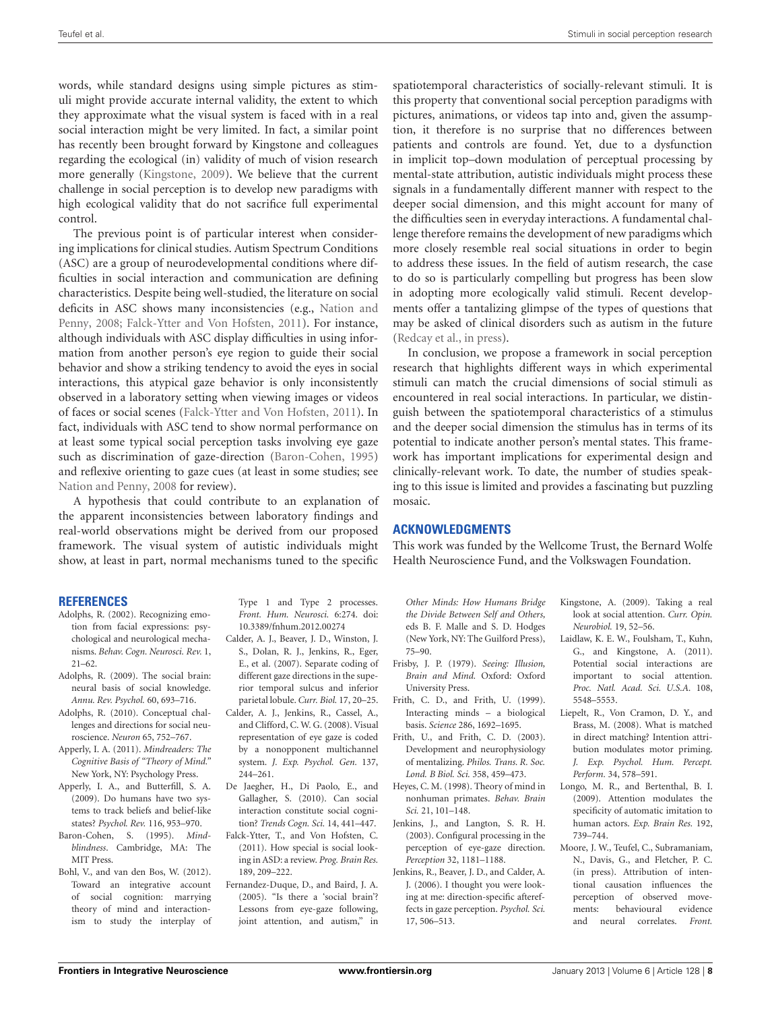words, while standard designs using simple pictures as stimuli might provide accurate internal validity, the extent to which they approximate what the visual system is faced with in a real social interaction might be very limited. In fact, a similar point has recently been brought forward by Kingstone and colleagues regarding the ecological (in) validity of much of vision research more generally [\(Kingstone, 2009](#page-7-20)). We believe that the current challenge in social perception is to develop new paradigms with high ecological validity that do not sacrifice full experimental control.

The previous point is of particular interest when considering implications for clinical studies. Autism Spectrum Conditions (ASC) are a group of neurodevelopmental conditions where difficulties in social interaction and communication are defining characteristics. Despite being well-studied, the literature on social defici[ts in ASC shows many inconsistencies \(e.g.,](#page-8-17) Nation and Penny, [2008](#page-8-17); [Falck-Ytter and Von Hofsten, 2011\)](#page-7-21). For instance, although individuals with ASC display difficulties in using information from another person's eye region to guide their social behavior and show a striking tendency to avoid the eyes in social interactions, this atypical gaze behavior is only inconsistently observed in a laboratory setting when viewing images or videos of faces or social scenes [\(Falck-Ytter and Von Hofsten](#page-7-21), [2011\)](#page-7-21). In fact, individuals with ASC tend to show normal performance on at least some typical social perception tasks involving eye gaze such as discrimination of gaze-direction [\(Baron-Cohen, 1995](#page-7-22)) and reflexive orienting to gaze cues (at least in some studies; see [Nation and Penny](#page-8-17), [2008](#page-8-17) for review).

A hypothesis that could contribute to an explanation of the apparent inconsistencies between laboratory findings and real-world observations might be derived from our proposed framework. The visual system of autistic individuals might show, at least in part, normal mechanisms tuned to the specific

#### **REFERENCES**

- <span id="page-7-0"></span>Adolphs, R. (2002). Recognizing emotion from facial expressions: psychological and neurological mechanisms. *Behav. Cogn. Neurosci. Rev.* 1, 21–62.
- <span id="page-7-6"></span>Adolphs, R. (2009). The social brain: neural basis of social knowledge. *Annu. Rev. Psychol.* 60, 693–716.
- <span id="page-7-4"></span>Adolphs, R. (2010). Conceptual challenges and directions for social neuroscience. *Neuron* 65, 752–767.
- <span id="page-7-7"></span>Apperly, I. A. (2011). *Mindreaders: The Cognitive Basis of "Theory of Mind."* New York, NY: Psychology Press.
- <span id="page-7-16"></span>Apperly, I. A., and Butterfill, S. A. (2009). Do humans have two systems to track beliefs and belief-like states? *Psychol. Rev.* 116, 953–970.
- <span id="page-7-22"></span>Baron-Cohen, S. (1995). *Mindblindness*. Cambridge, MA: The MIT Press.
- <span id="page-7-19"></span>Bohl, V., and van den Bos, W. (2012). Toward an integrative account of social cognition: marrying theory of mind and interactionism to study the interplay of

Type 1 and Type 2 processes. *Front. Hum. Neurosci.* 6:274. doi: 10.3389/fnhum.2012.00274

- <span id="page-7-2"></span>Calder, A. J., Beaver, J. D., Winston, J. S., Dolan, R. J., Jenkins, R., Eger, E., et al. (2007). Separate coding of different gaze directions in the superior temporal sulcus and inferior parietal lobule. *Curr. Biol.* 17, 20–25.
- <span id="page-7-3"></span>Calder, A. J., Jenkins, R., Cassel, A., and Clifford, C. W. G. (2008). Visual representation of eye gaze is coded by a nonopponent multichannel system. *J. Exp. Psychol. Gen.* 137, 244–261.
- <span id="page-7-18"></span>De Jaegher, H., Di Paolo, E., and Gallagher, S. (2010). Can social interaction constitute social cognition? *Trends Cogn. Sci.* 14, 441–447.
- <span id="page-7-21"></span>Falck-Ytter, T., and Von Hofsten, C. (2011). How special is social looking in ASD: a review. *Prog. Brain Res.* 189, 209–222.
- <span id="page-7-5"></span>Fernandez-Duque, D., and Baird, J. A. (2005). "Is there a 'social brain'? Lessons from eye-gaze following, joint attention, and autism," in

spatiotemporal characteristics of socially-relevant stimuli. It is this property that conventional social perception paradigms with pictures, animations, or videos tap into and, given the assumption, it therefore is no surprise that no differences between patients and controls are found. Yet, due to a dysfunction in implicit top–down modulation of perceptual processing by mental-state attribution, autistic individuals might process these signals in a fundamentally different manner with respect to the deeper social dimension, and this might account for many of the difficulties seen in everyday interactions. A fundamental challenge therefore remains the development of new paradigms which more closely resemble real social situations in order to begin to address these issues. In the field of autism research, the case to do so is particularly compelling but progress has been slow in adopting more ecologically valid stimuli. Recent developments offer a tantalizing glimpse of the types of questions that may be asked of clinical disorders such as autism in the future [\(Redcay et al., in press](#page-8-18)).

In conclusion, we propose a framework in social perception research that highlights different ways in which experimental stimuli can match the crucial dimensions of social stimuli as encountered in real social interactions. In particular, we distinguish between the spatiotemporal characteristics of a stimulus and the deeper social dimension the stimulus has in terms of its potential to indicate another person's mental states. This framework has important implications for experimental design and clinically-relevant work. To date, the number of studies speaking to this issue is limited and provides a fascinating but puzzling mosaic.

### **ACKNOWLEDGMENTS**

This work was funded by the Wellcome Trust, the Bernard Wolfe Health Neuroscience Fund, and the Volkswagen Foundation.

*Other Minds: How Humans Bridge the Divide Between Self and Others,* eds B. F. Malle and S. D. Hodges (New York, NY: The Guilford Press), 75–90.

- <span id="page-7-10"></span>Frisby, J. P. (1979). *Seeing: Illusion, Brain and Mind.* Oxford: Oxford University Press.
- <span id="page-7-15"></span>Frith, C. D., and Frith, U. (1999). Interacting minds – a biological basis. *Science* 286, 1692–1695.
- <span id="page-7-8"></span>Frith, U., and Frith, C. D. (2003). Development and neurophysiology of mentalizing. *Philos. Trans. R. Soc. Lond. B Biol. Sci.* 358, 459–473.
- <span id="page-7-11"></span>Heyes, C. M. (1998). Theory of mind in nonhuman primates. *Behav. Brain Sci.* 21, 101–148.
- <span id="page-7-12"></span>Jenkins, J., and Langton, S. R. H. (2003). Configural processing in the perception of eye-gaze direction. *Perception* 32, 1181–1188.
- <span id="page-7-1"></span>Jenkins, R., Beaver, J. D., and Calder, A. J. (2006). I thought you were looking at me: direction-specific aftereffects in gaze perception. *Psychol. Sci.* 17, 506–513.
- <span id="page-7-20"></span>Kingstone, A. (2009). Taking a real look at social attention. *Curr. Opin. Neurobiol.* 19, 52–56.
- <span id="page-7-17"></span>Laidlaw, K. E. W., Foulsham, T., Kuhn, G., and Kingstone, A. (2011). Potential social interactions are important to social attention. *Proc. Natl. Acad. Sci. U.S.A.* 108, 5548–5553.
- <span id="page-7-13"></span>Liepelt, R., Von Cramon, D. Y., and Brass, M. (2008). What is matched in direct matching? Intention attribution modulates motor priming. *J. Exp. Psychol. Hum. Percept. Perform.* 34, 578–591.
- <span id="page-7-14"></span>Longo, M. R., and Bertenthal, B. I. (2009). Attention modulates the specificity of automatic imitation to human actors. *Exp. Brain Res.* 192, 739–744.
- <span id="page-7-9"></span>Moore, J. W., Teufel, C., Subramaniam, N., Davis, G., and Fletcher, P. C. (in press). Attribution of intentional causation influences the perception of observed move-<br>ments: behavioural evidence ments: behavioural and neural correlates. *Front.*